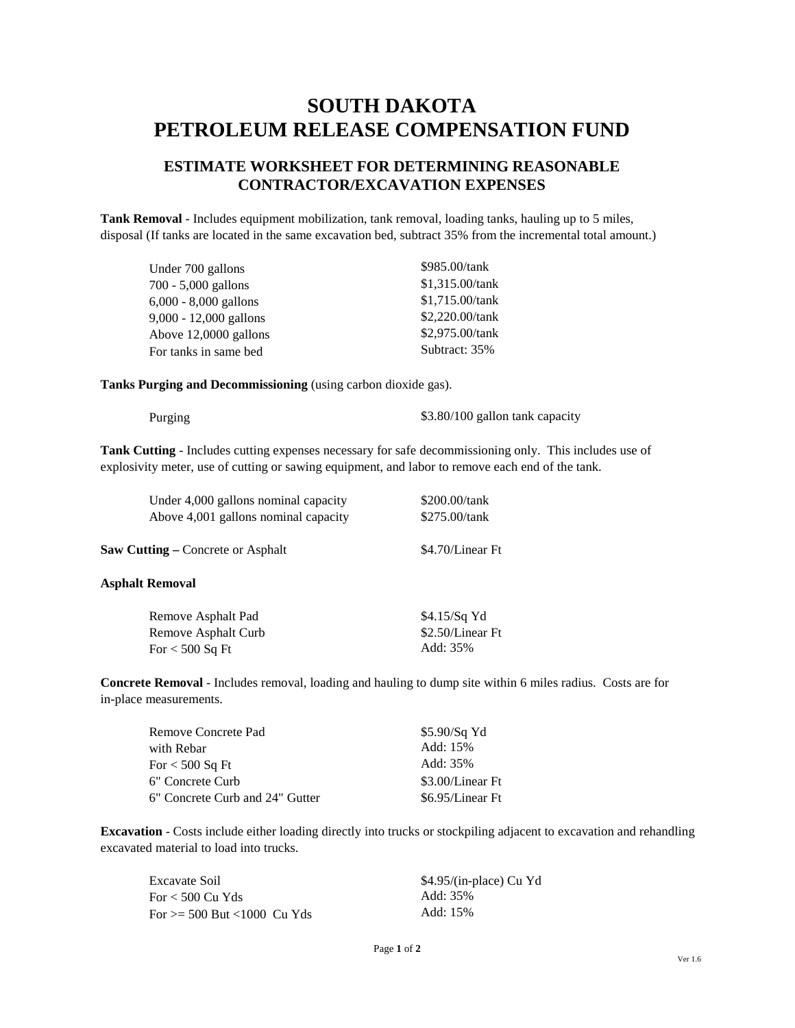# **SOUTH DAKOTA PETROLEUM RELEASE COMPENSATION FUND**

# **ESTIMATE WORKSHEET FOR DETERMINING REASONABLE CONTRACTOR/EXCAVATION EXPENSES**

**Tank Removal** - Includes equipment mobilization, tank removal, loading tanks, hauling up to 5 miles, disposal (If tanks are located in the same excavation bed, subtract 35% from the incremental total amount.)

| Under 700 gallons        | \$985.00/tank   |
|--------------------------|-----------------|
| $700 - 5,000$ gallons    | \$1,315.00/tank |
| $6,000 - 8,000$ gallons  | \$1,715.00/tank |
| $9,000 - 12,000$ gallons | \$2,220.00/tank |
| Above 12,0000 gallons    | \$2,975.00/tank |
| For tanks in same bed    | Subtract: 35%   |

**Tanks Purging and Decommissioning** (using carbon dioxide gas).

Purging \$3.80/100 gallon tank capacity

**Tank Cutting** - Includes cutting expenses necessary for safe decommissioning only. This includes use of explosivity meter, use of cutting or sawing equipment, and labor to remove each end of the tank.

| Under 4,000 gallons nominal capacity     | \$200.00/tank    |
|------------------------------------------|------------------|
| Above 4,001 gallons nominal capacity     | \$275.00/tank    |
|                                          |                  |
| <b>Saw Cutting – Concrete or Asphalt</b> | \$4.70/Linear Ft |

## **Asphalt Removal**

| Remove Asphalt Pad  | $$4.15/Sq$ Yd    |
|---------------------|------------------|
| Remove Asphalt Curb | \$2.50/Linear Ft |
| For < 500 Sq Ft     | Add: 35%         |

**Concrete Removal** - Includes removal, loading and hauling to dump site within 6 miles radius. Costs are for in-place measurements.

| Remove Concrete Pad             | \$5.90/Sq Yd     |
|---------------------------------|------------------|
| with Rebar                      | Add: 15%         |
| For < 500 Sq Ft                 | Add: 35%         |
| 6" Concrete Curb                | \$3.00/Linear Ft |
| 6" Concrete Curb and 24" Gutter | \$6.95/Linear Ft |

**Excavation** - Costs include either loading directly into trucks or stockpiling adjacent to excavation and rehandling excavated material to load into trucks.

| Excavate Soil               | \$4.95/(in-place) Cu Yd |
|-----------------------------|-------------------------|
| For < 500 Cu Yds            | Add: 35%                |
| For >= 500 But <1000 Cu Yds | Add: 15%                |